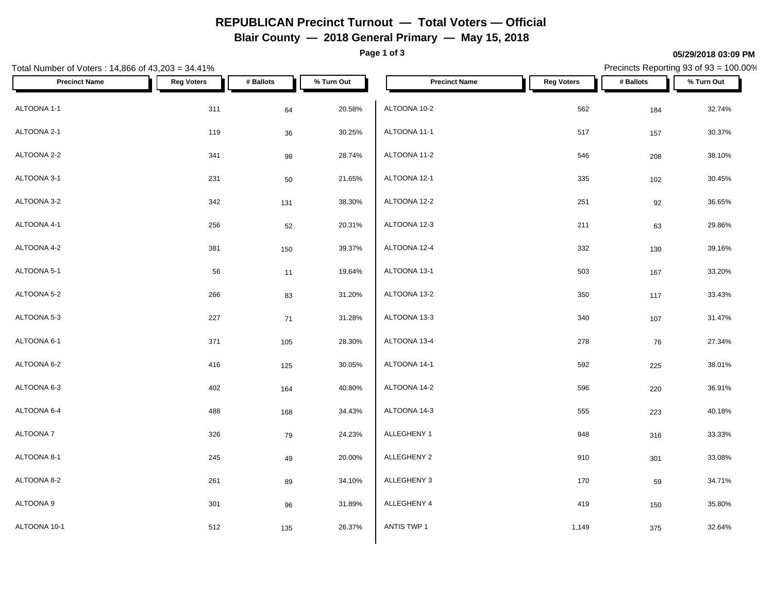# **REPUBLICAN Precinct Turnout — Total Voters — Official**

**Blair County — 2018 General Primary — May 15, 2018**

**Page 1 of 3**

#### **05/29/2018 03:09 PM**

Precincts Reporting 93 of 93 = 100.00%

| Total Number of Voters: 14,866 of 43,203 = 34.41% |                   |           |            |                      |                   |           | Precincts Reporting 93 of 93 = 100.00% |
|---------------------------------------------------|-------------------|-----------|------------|----------------------|-------------------|-----------|----------------------------------------|
| <b>Precinct Name</b>                              | <b>Reg Voters</b> | # Ballots | % Turn Out | <b>Precinct Name</b> | <b>Reg Voters</b> | # Ballots | % Turn Out                             |
| ALTOONA 1-1                                       | 311               | 64        | 20.58%     | ALTOONA 10-2         | 562               | 184       | 32.74%                                 |
| ALTOONA 2-1                                       | 119               | 36        | 30.25%     | ALTOONA 11-1         | 517               | 157       | 30.37%                                 |
| ALTOONA 2-2                                       | 341               | 98        | 28.74%     | ALTOONA 11-2         | 546               | 208       | 38.10%                                 |
| ALTOONA 3-1                                       | 231               | 50        | 21.65%     | ALTOONA 12-1         | 335               | 102       | 30.45%                                 |
| ALTOONA 3-2                                       | 342               | 131       | 38.30%     | ALTOONA 12-2         | 251               | 92        | 36.65%                                 |
| ALTOONA 4-1                                       | 256               | 52        | 20.31%     | ALTOONA 12-3         | 211               | 63        | 29.86%                                 |
| ALTOONA 4-2                                       | 381               | 150       | 39.37%     | ALTOONA 12-4         | 332               | 130       | 39.16%                                 |
| ALTOONA 5-1                                       | 56                | 11        | 19.64%     | ALTOONA 13-1         | 503               | 167       | 33.20%                                 |
| ALTOONA 5-2                                       | 266               | 83        | 31.20%     | ALTOONA 13-2         | 350               | 117       | 33.43%                                 |
| ALTOONA 5-3                                       | 227               | 71        | 31.28%     | ALTOONA 13-3         | 340               | 107       | 31.47%                                 |
| ALTOONA 6-1                                       | 371               | 105       | 28.30%     | ALTOONA 13-4         | 278               | 76        | 27.34%                                 |
| ALTOONA 6-2                                       | 416               | 125       | 30.05%     | ALTOONA 14-1         | 592               | 225       | 38.01%                                 |
| ALTOONA 6-3                                       | 402               | 164       | 40.80%     | ALTOONA 14-2         | 596               | 220       | 36.91%                                 |
| ALTOONA 6-4                                       | 488               | 168       | 34.43%     | ALTOONA 14-3         | 555               | 223       | 40.18%                                 |
| ALTOONA 7                                         | 326               | 79        | 24.23%     | ALLEGHENY 1          | 948               | 316       | 33.33%                                 |
| ALTOONA 8-1                                       | 245               | 49        | 20.00%     | ALLEGHENY 2          | 910               | 301       | 33.08%                                 |
| ALTOONA 8-2                                       | 261               | 89        | 34.10%     | ALLEGHENY 3          | 170               | 59        | 34.71%                                 |
| ALTOONA 9                                         | 301               | 96        | 31.89%     | ALLEGHENY 4          | 419               | 150       | 35.80%                                 |
| ALTOONA 10-1                                      | 512               | 135       | 26.37%     | ANTIS TWP 1          | 1,149             | 375       | 32.64%                                 |
|                                                   |                   |           |            |                      |                   |           |                                        |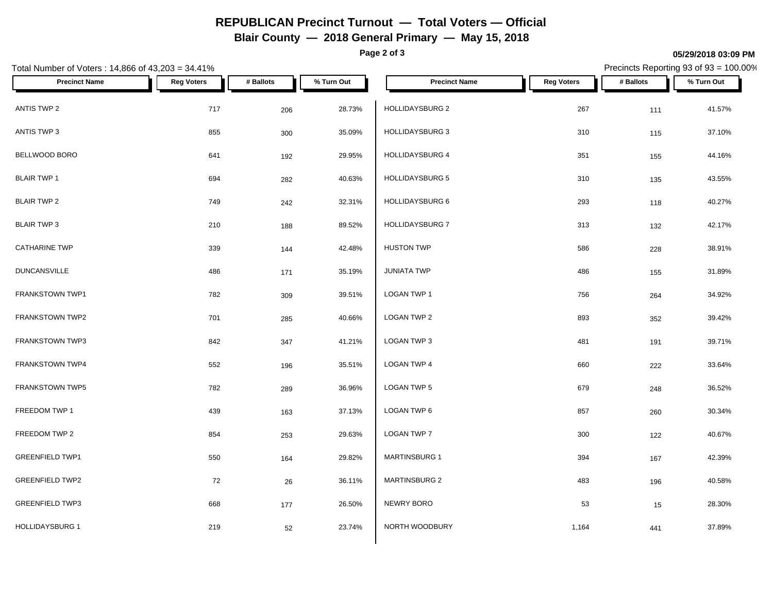# **REPUBLICAN Precinct Turnout — Total Voters — Official**

**Blair County — 2018 General Primary — May 15, 2018**

**Page 2 of 3**

#### **05/29/2018 03:09 PM**

Precincts Reporting 93 of 93 = 100.00%

| Total Number of Voters: 14,866 of 43,203 = 34.41% |                   |           |            | Precincts Reporting 93 of 93 = 100.00% |                   |           |            |
|---------------------------------------------------|-------------------|-----------|------------|----------------------------------------|-------------------|-----------|------------|
| <b>Precinct Name</b>                              | <b>Reg Voters</b> | # Ballots | % Turn Out | <b>Precinct Name</b>                   | <b>Reg Voters</b> | # Ballots | % Turn Out |
| ANTIS TWP 2                                       | 717               | 206       | 28.73%     | HOLLIDAYSBURG 2                        | 267               | 111       | 41.57%     |
| ANTIS TWP 3                                       | 855               | 300       | 35.09%     | <b>HOLLIDAYSBURG 3</b>                 | 310               | 115       | 37.10%     |
| BELLWOOD BORO                                     | 641               | 192       | 29.95%     | HOLLIDAYSBURG 4                        | 351               | 155       | 44.16%     |
| <b>BLAIR TWP 1</b>                                | 694               | 282       | 40.63%     | HOLLIDAYSBURG 5                        | 310               | 135       | 43.55%     |
| <b>BLAIR TWP 2</b>                                | 749               | 242       | 32.31%     | HOLLIDAYSBURG 6                        | 293               | 118       | 40.27%     |
| <b>BLAIR TWP 3</b>                                | 210               | 188       | 89.52%     | <b>HOLLIDAYSBURG 7</b>                 | 313               | 132       | 42.17%     |
| <b>CATHARINE TWP</b>                              | 339               | 144       | 42.48%     | <b>HUSTON TWP</b>                      | 586               | 228       | 38.91%     |
| <b>DUNCANSVILLE</b>                               | 486               | 171       | 35.19%     | <b>JUNIATA TWP</b>                     | 486               | 155       | 31.89%     |
| FRANKSTOWN TWP1                                   | 782               | 309       | 39.51%     | LOGAN TWP 1                            | 756               | 264       | 34.92%     |
| FRANKSTOWN TWP2                                   | 701               | 285       | 40.66%     | LOGAN TWP 2                            | 893               | 352       | 39.42%     |
| <b>FRANKSTOWN TWP3</b>                            | 842               | 347       | 41.21%     | LOGAN TWP 3                            | 481               | 191       | 39.71%     |
| FRANKSTOWN TWP4                                   | 552               | 196       | 35.51%     | LOGAN TWP 4                            | 660               | 222       | 33.64%     |
| <b>FRANKSTOWN TWP5</b>                            | 782               | 289       | 36.96%     | LOGAN TWP 5                            | 679               | 248       | 36.52%     |
| FREEDOM TWP 1                                     | 439               | 163       | 37.13%     | LOGAN TWP 6                            | 857               | 260       | 30.34%     |
| FREEDOM TWP 2                                     | 854               | 253       | 29.63%     | LOGAN TWP 7                            | 300               | 122       | 40.67%     |
| <b>GREENFIELD TWP1</b>                            | 550               | 164       | 29.82%     | <b>MARTINSBURG 1</b>                   | 394               | 167       | 42.39%     |
| <b>GREENFIELD TWP2</b>                            | 72                | 26        | 36.11%     | MARTINSBURG 2                          | 483               | 196       | 40.58%     |
| <b>GREENFIELD TWP3</b>                            | 668               | 177       | 26.50%     | NEWRY BORO                             | 53                | 15        | 28.30%     |
| <b>HOLLIDAYSBURG 1</b>                            | 219               | 52        | 23.74%     | NORTH WOODBURY                         | 1,164             | 441       | 37.89%     |
|                                                   |                   |           |            |                                        |                   |           |            |